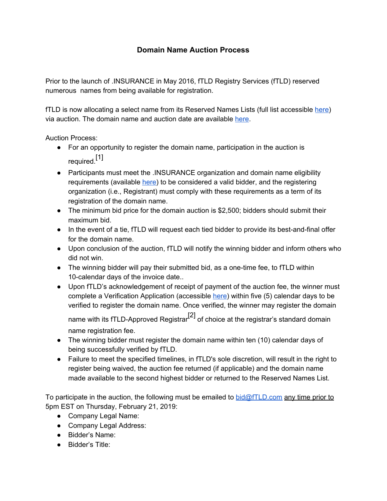## **Domain Name Auction Process**

Prior to the launch of .INSURANCE in May 2016, fTLD Registry Services (fTLD) reserved numerous names from being available for registration.

fTLD is now allocating a select name from its Reserved Names Lists (full list accessible [here](https://www.register.insurance/reserved-names/)) via auction. The domain name and auction date are available [here](https://www.register.insurance/reserved-names#auctions).

Auction Process:

- For an opportunity to register the domain name, participation in the auction is required. [1]
- Participants must meet the .INSURANCE organization and domain name eligibility requirements (availabl[e](https://www.register.insurance/eligibility/) [here\)](https://www.register.insurance/eligibility/) to be considered a valid bidder, and the registering organization (i.e., Registrant) must comply with these requirements as a term of its registration of the domain name.
- The minimum bid price for the domain auction is \$2,500; bidders should submit their maximum bid.
- In the event of a tie, fTLD will request each tied bidder to provide its best-and-final offer for the domain name.
- Upon conclusion of the auction, fTLD will notify the winning bidder and inform others who did not win.
- The winning bidder will pay their submitted bid, as a one-time fee, to fTLD within 10-calendar days of the invoice date..
- Upon fTLD's acknowledgement of receipt of payment of the auction fee, the winner must complete a Verification Application (accessibl[e](https://www.register.insurance/get-started/) [here](https://www.register.insurance/get-started/)) within five (5) calendar days to be verified to register the domain name. Once verified, the winner may register the domain name with its fTLD-Approved Registrar<sup>[2]</sup> of choice at the registrar's standard domain name registration fee.
- The winning bidder must register the domain name within ten (10) calendar days of being successfully verified by fTLD.
- Failure to meet the specified timelines, in fTLD's sole discretion, will result in the right to register being waived, the auction fee returned (if applicable) and the domain name made available to the second highest bidder or returned to the Reserved Names List.

To participate in the auction, the following must be emailed to bid $@fTLD.com$  any time prior to 5pm EST on Thursday, February 21, 2019:

- Company Legal Name:
- Company Legal Address:
- Bidder's Name:
- Bidder's Title: